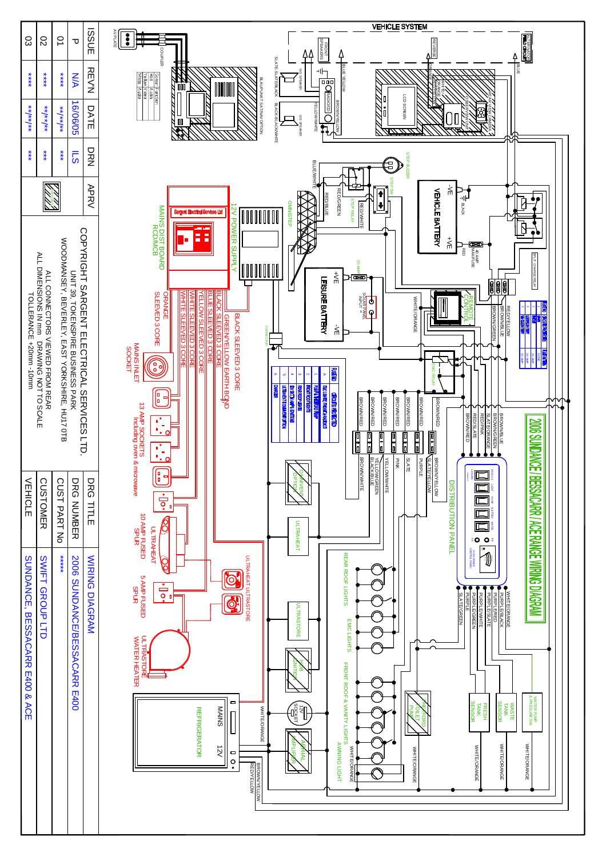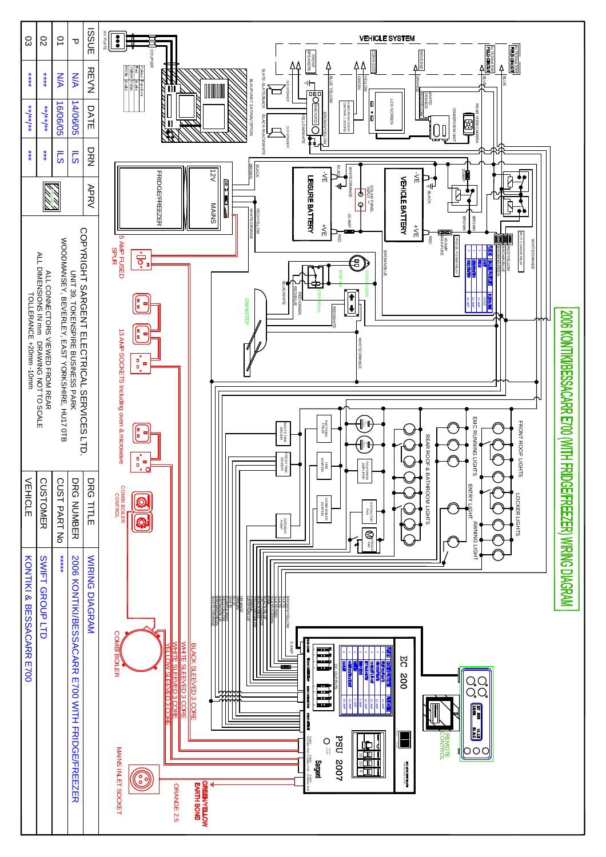